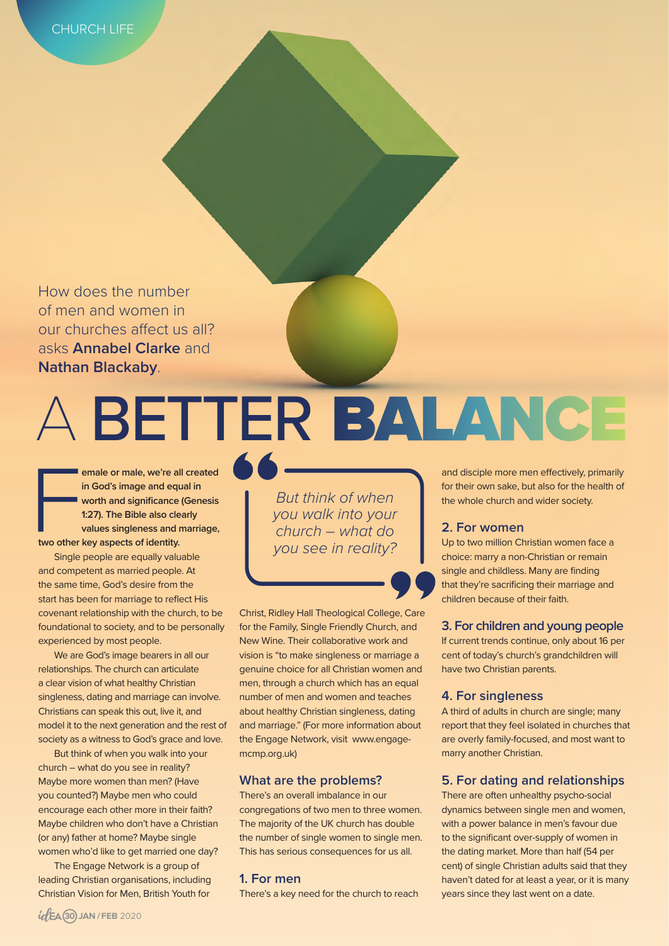How does the number of men and women in our churches afect us all? asks **Annabel Clarke** and **Nathan Blackaby**.

For two other **emale or male, we're all created in God's image and equal in worth and significance (Genesis 1:27). The Bible also clearly values singleness and marriage, two other key aspects of identity.** 

Single people are equally valuable and competent as married people. At the same time, God's desire from the start has been for marriage to reflect His covenant relationship with the church, to be foundational to society, and to be personally experienced by most people.

We are God's image bearers in all our relationships. The church can articulate a clear vision of what healthy Christian singleness, dating and marriage can involve. Christians can speak this out, live it, and model it to the next generation and the rest of society as a witness to God's grace and love.

But think of when you walk into your church – what do you see in reality? Maybe more women than men? (Have you counted?) Maybe men who could encourage each other more in their faith? Maybe children who don't have a Christian (or any) father at home? Maybe single women who'd like to get married one day?

The Engage Network is a group of leading Christian organisations, including Christian Vision for Men, British Youth for

*But think of when you walk into your church – what do you see in reality?*

A BETTER BALANCE

Christ, Ridley Hall Theological College, Care for the Family, Single Friendly Church, and New Wine. Their collaborative work and vision is "to make singleness or marriage a genuine choice for all Christian women and men, through a church which has an equal number of men and women and teaches about healthy Christian singleness, dating and marriage." (For more information about the Engage Network, visit www.engagemcmp.org.uk)

#### **What are the problems?**

There's an overall imbalance in our congregations of two men to three women. The majority of the UK church has double the number of single women to single men. This has serious consequences for us all.

#### **1. For men**

There's a key need for the church to reach

and disciple more men efectively, primarily for their own sake, but also for the health of the whole church and wider society.

#### **2. For women**

Up to two million Christian women face a choice: marry a non-Christian or remain single and childless. Many are finding that they're sacrificing their marriage and children because of their faith.

#### **3. For children and young people**

If current trends continue, only about 16 per cent of today's church's grandchildren will have two Christian parents.

#### **4. For singleness**

A third of adults in church are single; many report that they feel isolated in churches that are overly family-focused, and most want to marry another Christian.

#### **5. For dating and relationships**

There are often unhealthy psycho-social dynamics between single men and women, with a power balance in men's favour due to the significant over-supply of women in the dating market. More than half (54 per cent) of single Christian adults said that they haven't dated for at least a year, or it is many years since they last went on a date.